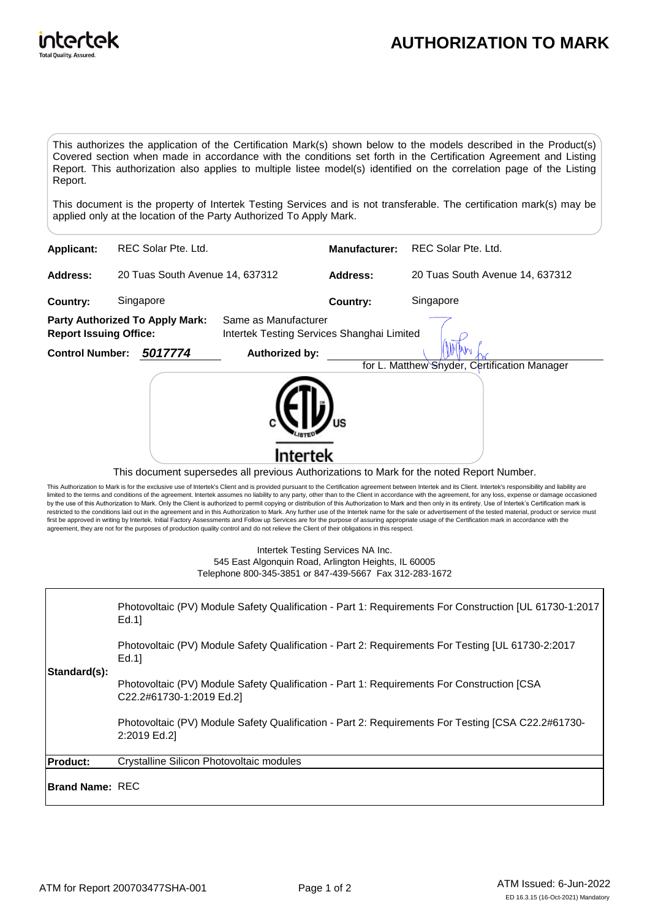

## **AUTHORIZATION TO MARK**

This authorizes the application of the Certification Mark(s) shown below to the models described in the Product(s) Covered section when made in accordance with the conditions set forth in the Certification Agreement and Listing Report. This authorization also applies to multiple listee model(s) identified on the correlation page of the Listing Report.

This document is the property of Intertek Testing Services and is not transferable. The certification mark(s) may be applied only at the location of the Party Authorized To Apply Mark.

| Applicant:                                                              |                                 | REC Solar Pte. Ltd. |                                                                    | <b>Manufacturer:</b> | REC Solar Pte. Ltd.                                                                       |
|-------------------------------------------------------------------------|---------------------------------|---------------------|--------------------------------------------------------------------|----------------------|-------------------------------------------------------------------------------------------|
| <b>Address:</b>                                                         | 20 Tuas South Avenue 14, 637312 |                     |                                                                    | Address:             | 20 Tuas South Avenue 14, 637312                                                           |
| Country:                                                                | Singapore                       |                     |                                                                    | <b>Country:</b>      | Singapore                                                                                 |
| <b>Party Authorized To Apply Mark:</b><br><b>Report Issuing Office:</b> |                                 |                     | Same as Manufacturer<br>Intertek Testing Services Shanghai Limited |                      |                                                                                           |
| <b>Control Number:</b>                                                  |                                 | 5017774             | Authorized by:                                                     |                      |                                                                                           |
|                                                                         |                                 |                     |                                                                    |                      | for L. Matthew Shyder, Certification Manager                                              |
|                                                                         |                                 |                     |                                                                    |                      | This document supersedes all previous Authorizations to Mark for the noted Report Number. |

This Authorization to Mark is for the exclusive use of Intertek's Client and is provided pursuant to the Certification agreement between Intertek and its Client. Intertek's responsibility and liability are limited to the terms and conditions of the agreement. Intertek assumes no liability to any party, other than to the Client in accordance with the agreement, for any loss, expense or damage occasioned<br>by the use of this Aut first be approved in writing by Intertek. Initial Factory Assessments and Follow up Services are for the purpose of assuring appropriate usage of the Certification mark in accordance with the agreement, they are not for the purposes of production quality control and do not relieve the Client of their obligations in this respect.

> Intertek Testing Services NA Inc. 545 East Algonquin Road, Arlington Heights, IL 60005 Telephone 800-345-3851 or 847-439-5667 Fax 312-283-1672

| Standard(s):           | Photovoltaic (PV) Module Safety Qualification - Part 1: Requirements For Construction [UL 61730-1:2017<br>Ed.1         |
|------------------------|------------------------------------------------------------------------------------------------------------------------|
|                        | Photovoltaic (PV) Module Safety Qualification - Part 2: Requirements For Testing [UL 61730-2:2017<br>Ed.1]             |
|                        | Photovoltaic (PV) Module Safety Qualification - Part 1: Requirements For Construction [CSA<br>C22.2#61730-1:2019 Ed.2] |
|                        | Photovoltaic (PV) Module Safety Qualification - Part 2: Requirements For Testing [CSA C22.2#61730-<br>2:2019 Ed.2]     |
| <b>Product:</b>        | Crystalline Silicon Photovoltaic modules                                                                               |
| <b>Brand Name: REC</b> |                                                                                                                        |